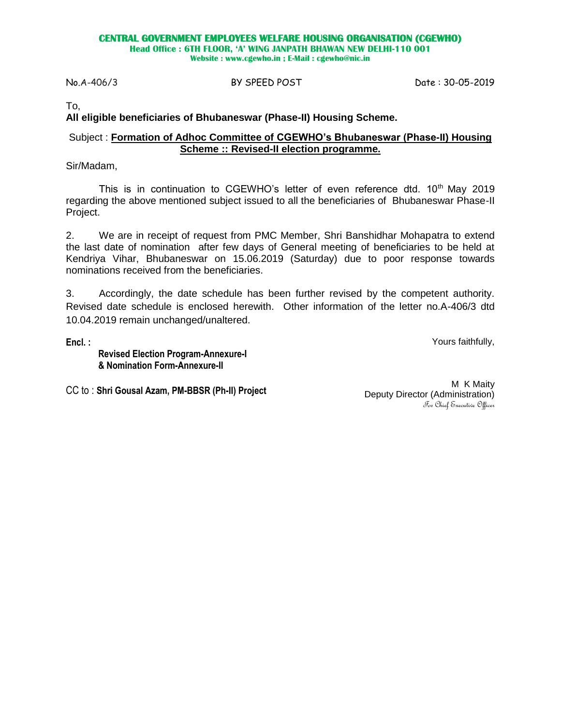#### **CENTRAL GOVERNMENT EMPLOYEES WELFARE HOUSING ORGANISATION (CGEWHO)**

**Head Office : 6TH FLOOR, 'A' WING JANPATH BHAWAN NEW DELHI-110 001**

**Website : www.cgewho.in ; E-Mail : cgewho@nic.in**

#### No.A-406/3 BY SPEED POST Date : 30-05-2019

To,

# **All eligible beneficiaries of Bhubaneswar (Phase-II) Housing Scheme.**

# Subject : **Formation of Adhoc Committee of CGEWHO's Bhubaneswar (Phase-II) Housing Scheme :: Revised-II election programme.**

Sir/Madam,

This is in continuation to CGEWHO's letter of even reference dtd.  $10<sup>th</sup>$  May 2019 regarding the above mentioned subject issued to all the beneficiaries of Bhubaneswar Phase-II Project.

2. We are in receipt of request from PMC Member, Shri Banshidhar Mohapatra to extend the last date of nomination after few days of General meeting of beneficiaries to be held at Kendriya Vihar, Bhubaneswar on 15.06.2019 (Saturday) due to poor response towards nominations received from the beneficiaries.

3. Accordingly, the date schedule has been further revised by the competent authority. Revised date schedule is enclosed herewith. Other information of the letter no.A-406/3 dtd 10.04.2019 remain unchanged/unaltered.

**Encl. :**

Yours faithfully,

**Revised Election Program-Annexure-I & Nomination Form-Annexure-II**

CC to : **Shri Gousal Azam, PM-BBSR (Ph-II) Project**

M K Maity Deputy Director (Administration) For Chief Executive Officer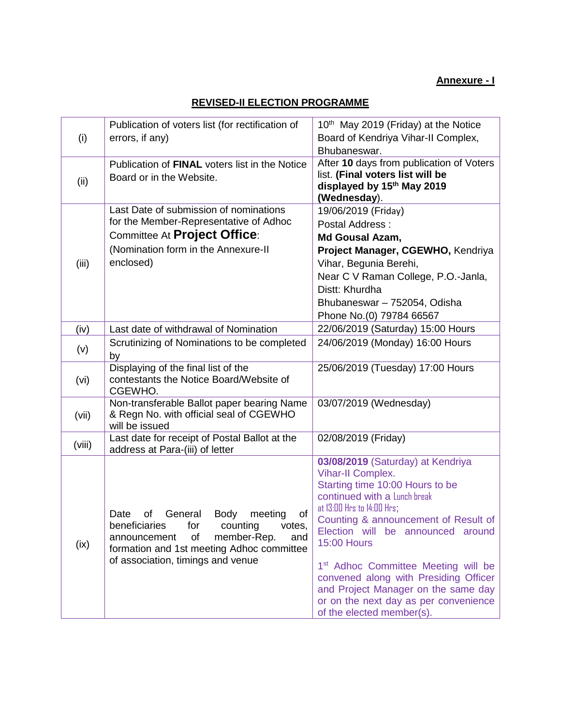# **Annexure - I**

# **REVISED-II ELECTION PROGRAMME**

| (i)    | Publication of voters list (for rectification of<br>errors, if any)                                                                                                                                                     | 10th May 2019 (Friday) at the Notice<br>Board of Kendriya Vihar-II Complex,<br>Bhubaneswar.                                                                                                                                                                                                                                                                                                                                                                                |  |
|--------|-------------------------------------------------------------------------------------------------------------------------------------------------------------------------------------------------------------------------|----------------------------------------------------------------------------------------------------------------------------------------------------------------------------------------------------------------------------------------------------------------------------------------------------------------------------------------------------------------------------------------------------------------------------------------------------------------------------|--|
| (ii)   | Publication of FINAL voters list in the Notice<br>Board or in the Website.                                                                                                                                              | After 10 days from publication of Voters<br>list. (Final voters list will be<br>displayed by 15th May 2019<br>(Wednesday).                                                                                                                                                                                                                                                                                                                                                 |  |
| (iii)  | Last Date of submission of nominations<br>for the Member-Representative of Adhoc<br>Committee At Project Office:<br>(Nomination form in the Annexure-II<br>enclosed)                                                    | 19/06/2019 (Friday)<br>Postal Address:<br>Md Gousal Azam,<br>Project Manager, CGEWHO, Kendriya<br>Vihar, Begunia Berehi,<br>Near C V Raman College, P.O.-Janla,<br>Distt: Khurdha<br>Bhubaneswar - 752054, Odisha<br>Phone No.(0) 79784 66567                                                                                                                                                                                                                              |  |
| (iv)   | Last date of withdrawal of Nomination                                                                                                                                                                                   | 22/06/2019 (Saturday) 15:00 Hours                                                                                                                                                                                                                                                                                                                                                                                                                                          |  |
| (v)    | Scrutinizing of Nominations to be completed<br>by                                                                                                                                                                       | 24/06/2019 (Monday) 16:00 Hours                                                                                                                                                                                                                                                                                                                                                                                                                                            |  |
| (vi)   | Displaying of the final list of the<br>contestants the Notice Board/Website of<br>CGEWHO.                                                                                                                               | 25/06/2019 (Tuesday) 17:00 Hours                                                                                                                                                                                                                                                                                                                                                                                                                                           |  |
| (vii)  | Non-transferable Ballot paper bearing Name<br>& Regn No. with official seal of CGEWHO<br>will be issued                                                                                                                 | 03/07/2019 (Wednesday)                                                                                                                                                                                                                                                                                                                                                                                                                                                     |  |
| (viii) | Last date for receipt of Postal Ballot at the<br>address at Para-(iii) of letter                                                                                                                                        | 02/08/2019 (Friday)                                                                                                                                                                                                                                                                                                                                                                                                                                                        |  |
| (ix)   | General<br>Body<br>meeting<br>Date<br>οf<br>0t<br>beneficiaries for<br>counting<br>votes,<br>member-Rep.<br>of<br>announcement<br>and<br>formation and 1st meeting Adhoc committee<br>of association, timings and venue | 03/08/2019 (Saturday) at Kendriya<br><b>Vihar-II Complex.</b><br>Starting time 10:00 Hours to be<br>continued with a Lunch break<br>at 13:00 Hrs to 14:00 Hrs;<br>Counting & announcement of Result of<br>Election will be announced around<br><b>15:00 Hours</b><br>1 <sup>st</sup> Adhoc Committee Meeting will be<br>convened along with Presiding Officer<br>and Project Manager on the same day<br>or on the next day as per convenience<br>of the elected member(s). |  |